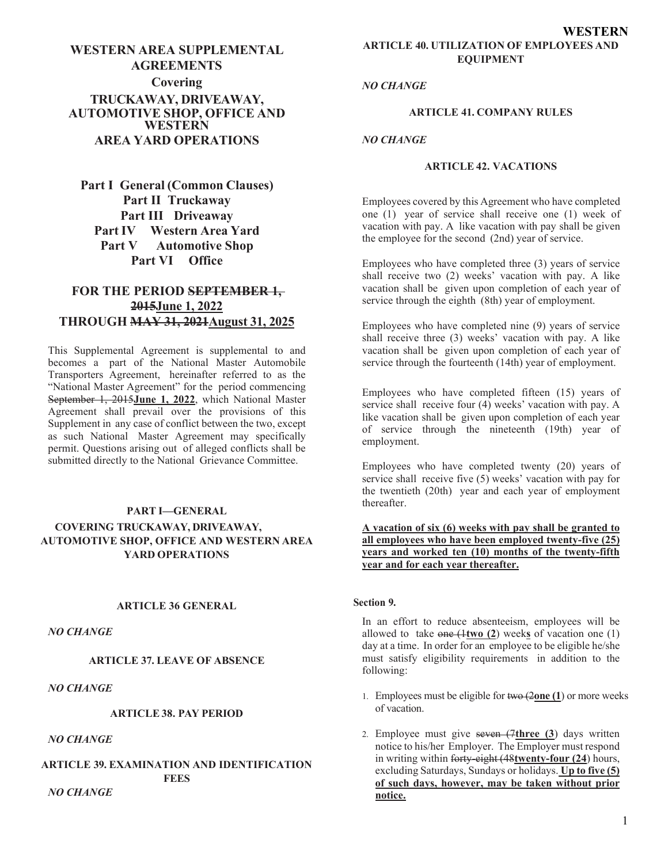# **WESTERN AREA SUPPLEMENTAL AGREEMENTS Covering TRUCKAWAY, DRIVEAWAY, AUTOMOTIVE SHOP, OFFICE AND WESTERN AREA YARD OPERATIONS**

**Part I General (Common Clauses) Part II Truckaway Part III Driveaway Part IV Western Area Yard Part V Automotive Shop Part VI Office**

# **FOR THE PERIOD SEPTEMBER 1, 2015June 1, 2022 THROUGH MAY 31, 2021August 31, 2025**

This Supplemental Agreement is supplemental to and becomes a part of the National Master Automobile Transporters Agreement, hereinafter referred to as the "National Master Agreement" for the period commencing September 1, 2015**June 1, 2022**, which National Master Agreement shall prevail over the provisions of this Supplement in any case of conflict between the two, except as such National Master Agreement may specifically permit. Questions arising out of alleged conflicts shall be submitted directly to the National Grievance Committee.

# **PART I—GENERAL COVERING TRUCKAWAY, DRIVEAWAY, AUTOMOTIVE SHOP, OFFICE AND WESTERN AREA**

**YARD OPERATIONS**

# **ARTICLE 36 GENERAL**

*NO CHANGE*

#### **ARTICLE 37. LEAVE OF ABSENCE**

*NO CHANGE*

## **ARTICLE 38. PAY PERIOD**

*NO CHANGE*

#### **ARTICLE 39. EXAMINATION AND IDENTIFICATION FEES** *NO CHANGE*

*NO CHANGE*

#### **ARTICLE 41. COMPANY RULES**

#### *NO CHANGE*

#### **ARTICLE 42. VACATIONS**

Employees covered by this Agreement who have completed one (1) year of service shall receive one (1) week of vacation with pay. A like vacation with pay shall be given the employee for the second (2nd) year of service.

Employees who have completed three (3) years of service shall receive two (2) weeks' vacation with pay. A like vacation shall be given upon completion of each year of service through the eighth (8th) year of employment.

Employees who have completed nine (9) years of service shall receive three (3) weeks' vacation with pay. A like vacation shall be given upon completion of each year of service through the fourteenth (14th) year of employment.

Employees who have completed fifteen (15) years of service shall receive four (4) weeks' vacation with pay. A like vacation shall be given upon completion of each year of service through the nineteenth (19th) year of employment.

Employees who have completed twenty (20) years of service shall receive five (5) weeks' vacation with pay for the twentieth (20th) year and each year of employment thereafter.

## **A vacation of six (6) weeks with pay shall be granted to all employees who have been employed twenty-five (25) years and worked ten (10) months of the twenty-fifth year and for each year thereafter.**

#### **Section 9.**

In an effort to reduce absenteeism, employees will be allowed to take one (1**two (2**) week**s** of vacation one (1) day at a time. In order for an employee to be eligible he/she must satisfy eligibility requirements in addition to the following:

- 1. Employees must be eligible for two (2**one (1**) or more weeks of vacation.
- 2. Employee must give seven (7**three (3**) days written notice to his/her Employer. The Employer must respond in writing within forty-eight (48**twenty-four (24**) hours, excluding Saturdays, Sundays or holidays. **Up to five (5) of such days, however, may be taken without prior notice.**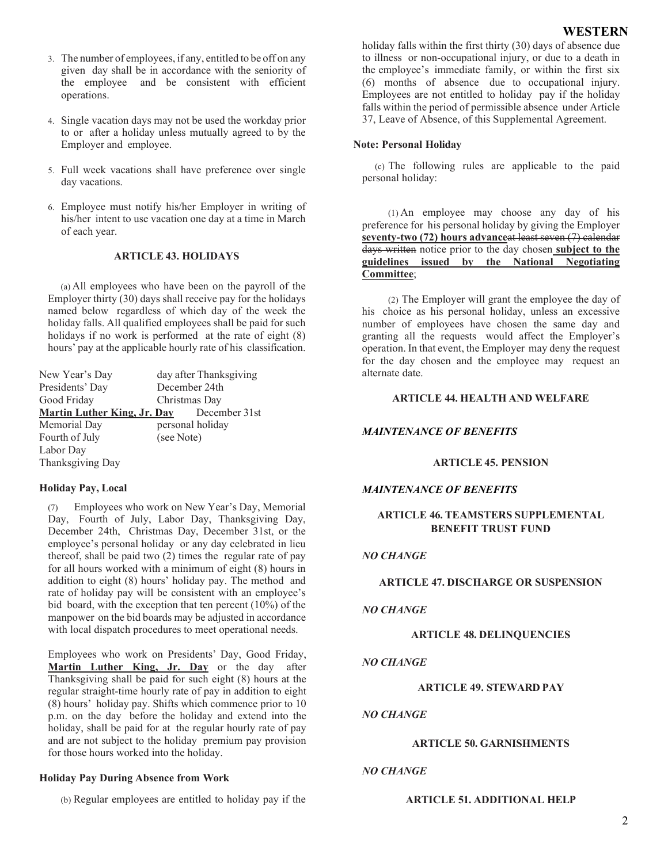- 3. The number of employees, if any, entitled to be off on any given day shall be in accordance with the seniority of the employee and be consistent with efficient operations.
- 4. Single vacation days may not be used the workday prior to or after a holiday unless mutually agreed to by the Employer and employee.
- 5. Full week vacations shall have preference over single day vacations.
- 6. Employee must notify his/her Employer in writing of his/her intent to use vacation one day at a time in March of each year.

## **ARTICLE 43. HOLIDAYS**

(a) All employees who have been on the payroll of the Employer thirty (30) days shall receive pay for the holidays named below regardless of which day of the week the holiday falls. All qualified employees shall be paid for such holidays if no work is performed at the rate of eight (8) hours' pay at the applicable hourly rate of his classification.

| New Year's Day                     | day after Thanksgiving |  |  |
|------------------------------------|------------------------|--|--|
| Presidents' Day                    | December 24th          |  |  |
| Good Friday                        | Christmas Day          |  |  |
| <b>Martin Luther King, Jr. Day</b> | December 31st          |  |  |
| Memorial Day                       | personal holiday       |  |  |
| Fourth of July                     | (see Note)             |  |  |
| Labor Day                          |                        |  |  |
| Thanksgiving Day                   |                        |  |  |

# **Holiday Pay, Local**

(7) Employees who work on New Year's Day, Memorial Day, Fourth of July, Labor Day, Thanksgiving Day, December 24th, Christmas Day, December 31st, or the employee's personal holiday or any day celebrated in lieu thereof, shall be paid two (2) times the regular rate of pay for all hours worked with a minimum of eight (8) hours in addition to eight (8) hours' holiday pay. The method and rate of holiday pay will be consistent with an employee's bid board, with the exception that ten percent (10%) of the manpower on the bid boards may be adjusted in accordance with local dispatch procedures to meet operational needs.

Employees who work on Presidents' Day, Good Friday, **Martin Luther King, Jr. Day** or the day after Thanksgiving shall be paid for such eight (8) hours at the regular straight-time hourly rate of pay in addition to eight (8) hours' holiday pay. Shifts which commence prior to 10 p.m. on the day before the holiday and extend into the holiday, shall be paid for at the regular hourly rate of pay and are not subject to the holiday premium pay provision for those hours worked into the holiday.

#### **Holiday Pay During Absence from Work**

(b) Regular employees are entitled to holiday pay if the

holiday falls within the first thirty (30) days of absence due to illness or non-occupational injury, or due to a death in the employee's immediate family, or within the first six (6) months of absence due to occupational injury. Employees are not entitled to holiday pay if the holiday falls within the period of permissible absence under Article 37, Leave of Absence, of this Supplemental Agreement.

### **Note: Personal Holiday**

(c) The following rules are applicable to the paid personal holiday:

(1) An employee may choose any day of his preference for his personal holiday by giving the Employer **seventy-two (72) hours advance**at least seven (7) calendar days written notice prior to the day chosen **subject to the guidelines issued by the National Negotiating Committee**;

(2) The Employer will grant the employee the day of his choice as his personal holiday, unless an excessive number of employees have chosen the same day and granting all the requests would affect the Employer's operation. In that event, the Employer may deny the request for the day chosen and the employee may request an alternate date.

## **ARTICLE 44. HEALTH AND WELFARE**

## *MAINTENANCE OF BENEFITS*

## **ARTICLE 45. PENSION**

#### *MAINTENANCE OF BENEFITS*

# **ARTICLE 46. TEAMSTERS SUPPLEMENTAL BENEFIT TRUST FUND**

#### *NO CHANGE*

### **ARTICLE 47. DISCHARGE OR SUSPENSION**

#### *NO CHANGE*

#### **ARTICLE 48. DELINQUENCIES**

#### *NO CHANGE*

#### **ARTICLE 49. STEWARD PAY**

## *NO CHANGE*

#### **ARTICLE 50. GARNISHMENTS**

## *NO CHANGE*

#### **ARTICLE 51. ADDITIONAL HELP**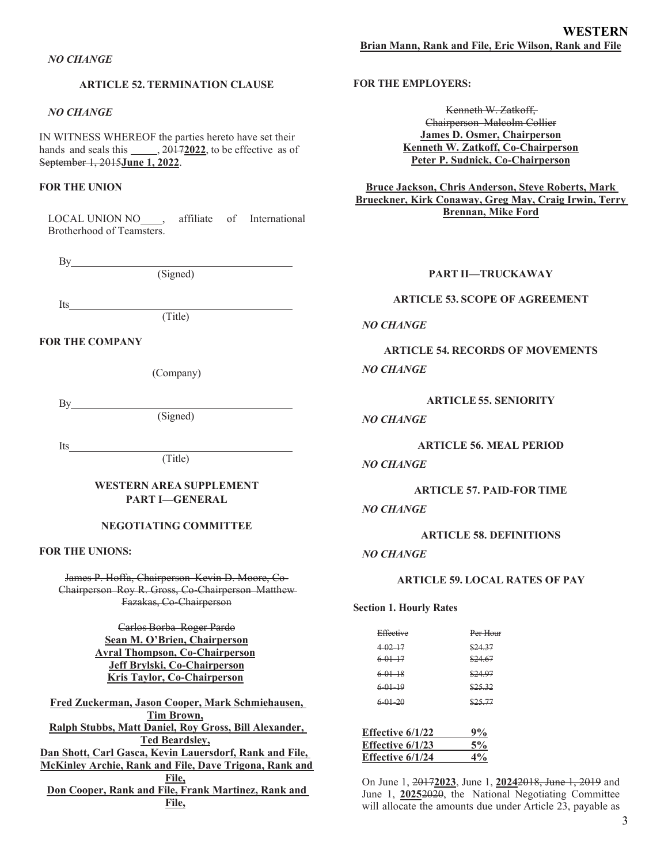## **ARTICLE 52. TERMINATION CLAUSE**

#### *NO CHANGE*

IN WITNESS WHEREOF the parties hereto have set their hands and seals this \_\_\_\_\_, 20172022, to be effective as of September 1, 2015**June 1, 2022**.

## **FOR THE UNION**

LOCAL UNION NO\_\_\_, affiliate of International Brotherhood of Teamsters.

By

(Signed)

Its

(Title)

#### **FOR THE COMPANY**

(Company)

By a set of  $\mathbf{B}$ 

(Signed)

Its

(Title)

## **WESTERN AREA SUPPLEMENT PART I—GENERAL**

#### **NEGOTIATING COMMITTEE**

## **FOR THE UNIONS:**

James P. Hoffa, Chairperson Kevin D. Moore, Co-Chairperson Roy R. Gross, Co-Chairperson Matthew Fazakas, Co-Chairperson

> Carlos Borba Roger Pardo **Sean M. O'Brien, Chairperson Avral Thompson, Co-Chairperson Jeff Brylski, Co-Chairperson Kris Taylor, Co-Chairperson**

**Fred Zuckerman, Jason Cooper, Mark Schmiehausen, Tim Brown, Ralph Stubbs, Matt Daniel, Roy Gross, Bill Alexander, Ted Beardsley, Dan Shott, Carl Gasca, Kevin Lauersdorf, Rank and File, McKinley Archie, Rank and File, Dave Trigona, Rank and File, Don Cooper, Rank and File, Frank Martinez, Rank and File,**

#### **FOR THE EMPLOYERS:**

Kenneth W. Zatkoff, Chairperson Malcolm Collier **James D. Osmer, Chairperson Kenneth W. Zatkoff, Co-Chairperson Peter P. Sudnick, Co-Chairperson**

**Bruce Jackson, Chris Anderson, Steve Roberts, Mark Brueckner, Kirk Conaway, Greg May, Craig Irwin, Terry Brennan, Mike Ford**

#### **PART II—TRUCKAWAY**

### **ARTICLE 53. SCOPE OF AGREEMENT**

#### *NO CHANGE*

**ARTICLE 54. RECORDS OF MOVEMENTS**

# *NO CHANGE*

**ARTICLE 55. SENIORITY**

## *NO CHANGE*

#### **ARTICLE 56. MEAL PERIOD**

## *NO CHANGE*

**ARTICLE 57. PAID-FOR TIME**

## *NO CHANGE*

#### **ARTICLE 58. DEFINITIONS**

#### *NO CHANGE*

#### **ARTICLE 59. LOCAL RATES OF PAY**

**Section 1. Hourly Rates**

| Effective               | Per Hour |
|-------------------------|----------|
| $4 - 02 - 17$           | \$24.37  |
| $6 - 01 - 17$           | \$24.67  |
| $6 - 01 - 18$           | \$24.97  |
| $6 - 01 - 19$           | \$25.32  |
| $6 - 01 - 20$           | \$25.77  |
|                         |          |
| <b>Effective 6/1/22</b> | 9%       |
| <b>Effective 6/1/23</b> | 5%       |
| <b>Effective 6/1/24</b> | $4\%$    |
|                         |          |

On June 1, 2017**2023**, June 1, **2024**2018, June 1, 2019 and June 1, 20252020, the National Negotiating Committee will allocate the amounts due under Article 23, payable as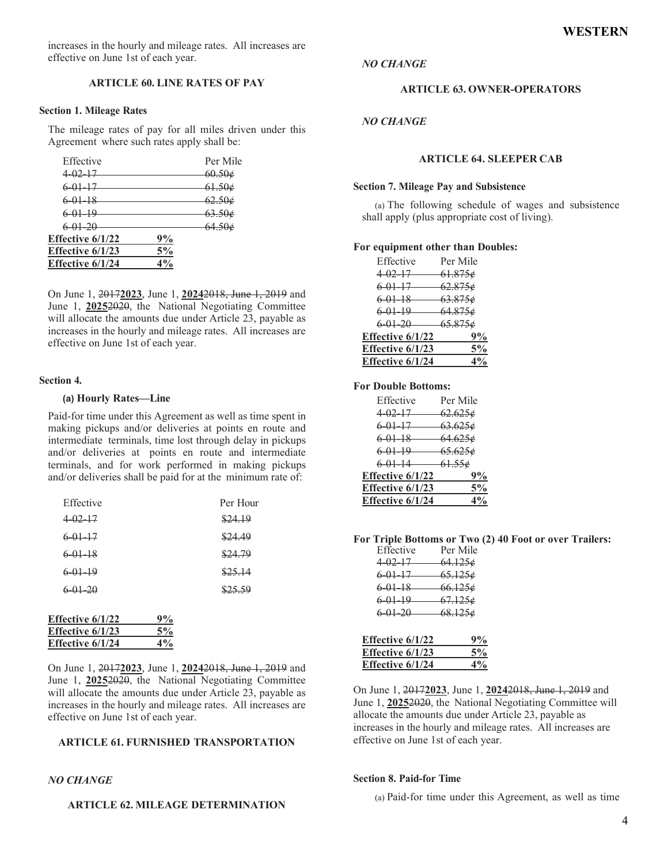increases in the hourly and mileage rates. All increases are effective on June 1st of each year.

## **ARTICLE 60. LINE RATES OF PAY**

#### **Section 1. Mileage Rates**

The mileage rates of pay for all miles driven under this Agreement where such rates apply shall be:

| Effective        |    | Per Mile      |
|------------------|----|---------------|
| 4.02, 17         |    | 60.50e        |
| 6.01.17          |    | <u>61.50e</u> |
| $6.01 - 18$      |    | <u>62.50e</u> |
| $6.01 - 19$      |    | 63.506        |
| $6 - 01 - 20$    |    | 64.50e        |
| Effective 6/1/22 | 9% |               |
| Effective 6/1/23 | 5% |               |
| Effective 6/1/24 | 4% |               |

On June 1, 2017**2023**, June 1, **2024**2018, June 1, 2019 and June 1, **2025**2020, the National Negotiating Committee will allocate the amounts due under Article 23, payable as increases in the hourly and mileage rates. All increases are effective on June 1st of each year.

#### **Section 4.**

#### **(a) Hourly Rates—Line**

Paid-for time under this Agreement as well as time spent in making pickups and/or deliveries at points en route and intermediate terminals, time lost through delay in pickups and/or deliveries at points en route and intermediate terminals, and for work performed in making pickups and/or deliveries shall be paid for at the minimum rate of:

| Effective               |    | Per Hour |
|-------------------------|----|----------|
| $4-02-17$               |    | \$24.19  |
| 6-01-17                 |    | \$24.49  |
| $6-01-18$               |    | \$24.79  |
| $6.01 - 19$             |    | \$25.14  |
| $6.01 - 20$             |    | \$25.59  |
|                         |    |          |
| <b>Effective 6/1/22</b> | 9% |          |
| Effective 6/1/23        | 5% |          |
| Effective 6/1/24        | 4% |          |

On June 1, 2017**2023**, June 1, **2024**2018, June 1, 2019 and June 1, **2025**2020, the National Negotiating Committee will allocate the amounts due under Article 23, payable as increases in the hourly and mileage rates. All increases are effective on June 1st of each year.

## **ARTICLE 61. FURNISHED TRANSPORTATION**

#### *NO CHANGE*

#### **ARTICLE 62. MILEAGE DETERMINATION**

#### *NO CHANGE*

#### **ARTICLE 63. OWNER-OPERATORS**

## *NO CHANGE*

#### **ARTICLE 64. SLEEPER CAB**

#### **Section 7. Mileage Pay and Subsistence**

(a) The following schedule of wages and subsistence shall apply (plus appropriate cost of living).

#### **For equipment other than Doubles:**

| Effective               | Per Mile   |
|-------------------------|------------|
| $4-02-17$ 61.875 $\phi$ |            |
| $6 - 01 - 17$           | $-62.875*$ |
| $6.01-18$ $63.875\phi$  |            |
| $6-01-19$ $64.875e$     |            |
| $6-01-20$ $65.875\phi$  |            |
| Effective 6/1/22        | 9%         |
| Effective 6/1/23        | $5\%$      |
| Effective 6/1/24        | $4\%$      |

#### **For Double Bottoms:**

| Effective              | Per Mile      |
|------------------------|---------------|
| 4.0217                 | $62.625\phi$  |
| $6 - 01 - 17$          | $-63.625\phi$ |
| $6.01-18$ $64.625\phi$ |               |
| $6.01-19$ $65.625\phi$ |               |
| $6-01-14$ $61.55\phi$  |               |
| Effective 6/1/22       | 9%            |
| Effective 6/1/23       | $5\%$         |
| Effective 6/1/24       | $4\%$         |

**For Triple Bottoms or Two (2) 40 Foot or over Trailers:**

| $1.1$ $\mu$ $\alpha$ $\beta$ $\alpha$ $\beta$ $\alpha$ $\alpha$ $\beta$ $\alpha$ $\beta$ $\alpha$ $\beta$ $\alpha$ $\beta$ $\alpha$ $\beta$ $\beta$ $\alpha$ $\beta$ $\beta$ $\alpha$ $\beta$ $\beta$ $\alpha$ $\beta$ $\beta$ $\alpha$ $\beta$ $\beta$ $\alpha$ $\beta$ $\beta$ $\alpha$ $\beta$ $\beta$ $\alpha$ $\beta$ $\beta$ $\alpha$ $\beta$ $\beta$ $\alpha$ $\beta$ |                    |
|------------------------------------------------------------------------------------------------------------------------------------------------------------------------------------------------------------------------------------------------------------------------------------------------------------------------------------------------------------------------------|--------------------|
| Effective                                                                                                                                                                                                                                                                                                                                                                    | Per Mile           |
| 4.02.17                                                                                                                                                                                                                                                                                                                                                                      | <del>64.125¢</del> |
| 6 01 17                                                                                                                                                                                                                                                                                                                                                                      | <del>65.125¢</del> |
| <del>6 01 18</del>                                                                                                                                                                                                                                                                                                                                                           | <del>66.125¢</del> |
| $6.01-19$                                                                                                                                                                                                                                                                                                                                                                    | <del>67.125¢</del> |
| $6.01 - 20$                                                                                                                                                                                                                                                                                                                                                                  | <del>68.125¢</del> |
|                                                                                                                                                                                                                                                                                                                                                                              |                    |

| Effective 6/1/22 | 9%    |
|------------------|-------|
| Effective 6/1/23 | $5\%$ |
| Effective 6/1/24 | $4\%$ |

On June 1, 2017**2023**, June 1, **2024**2018, June 1, 2019 and June 1, 20252020, the National Negotiating Committee will allocate the amounts due under Article 23, payable as increases in the hourly and mileage rates. All increases are effective on June 1st of each year.

#### **Section 8. Paid-for Time**

(a) Paid-for time under this Agreement, as well as time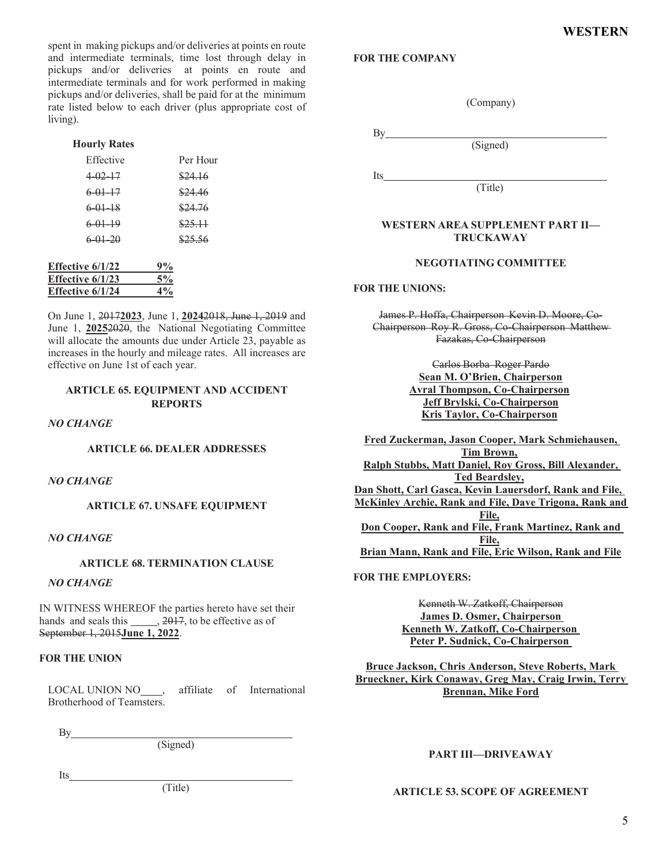spent in making pickups and/or deliveries at points en route and intermediate terminals, time lost through delay in pickups and/or deliveries at points en route and intermediate terminals and for work performed in making pickups and/or deliveries, shall be paid for at the minimum rate listed below to each driver (plus appropriate cost of living).

## **Hourly Rates**

| Effective   | Per Hour |
|-------------|----------|
| $4.02 - 17$ | \$24.16  |
| $6.01-17$   | \$24.46  |
| $6.01 - 18$ | \$24.76  |
| $6.01-19$   | \$25.11  |
| $6.01 - 20$ | \$25.56  |
|             |          |
|             |          |

| <b>Effective 6/1/22</b> | 9%    |
|-------------------------|-------|
| Effective 6/1/23        | 5%    |
| Effective 6/1/24        | $4\%$ |

On June 1, 2017**2023**, June 1, **2024**2018, June 1, 2019 and June 1, 20252020, the National Negotiating Committee will allocate the amounts due under Article 23, payable as increases in the hourly and mileage rates. All increases are effective on June 1st of each year.

## **ARTICLE 65. EQUIPMENT AND ACCIDENT REPORTS**

*NO CHANGE*

#### **ARTICLE 66. DEALER ADDRESSES**

## *NO CHANGE*

**ARTICLE 67. UNSAFE EQUIPMENT**

## *NO CHANGE*

## **ARTICLE 68. TERMINATION CLAUSE**

# *NO CHANGE*

IN WITNESS WHEREOF the parties hereto have set their hands and seals this  $, 2017$ , to be effective as of September 1, 2015**June 1, 2022**.

#### **FOR THE UNION**

LOCAL UNION NO , affiliate of International Brotherhood of Teamsters.

B<sub>y</sub>

Its

(Signed)

(Title)

## **FOR THE COMPANY**

(Company)

(Signed)

By a set of  $\mathbf{B}$ 

Its and the set of  $\overline{a}$  and  $\overline{b}$  and  $\overline{a}$  and  $\overline{a}$  and  $\overline{a}$  and  $\overline{a}$  and  $\overline{a}$  and  $\overline{a}$  and  $\overline{a}$  and  $\overline{a}$  and  $\overline{a}$  and  $\overline{a}$  and  $\overline{a}$  and  $\overline{a}$  and  $\overline{a}$  and  $\overline{a}$ 

(Title)

## **WESTERN AREA SUPPLEMENT PART II— TRUCKAWAY**

## **NEGOTIATING COMMITTEE**

## **FOR THE UNIONS:**

James P. Hoffa, Chairperson Kevin D. Moore, Co-Chairperson Roy R. Gross, Co-Chairperson Matthew Fazakas, Co-Chairperson

> Carlos Borba Roger Pardo **Sean M. O'Brien, Chairperson Avral Thompson, Co-Chairperson Jeff Brylski, Co-Chairperson Kris Taylor, Co-Chairperson**

**Fred Zuckerman, Jason Cooper, Mark Schmiehausen, Tim Brown, Ralph Stubbs, Matt Daniel, Roy Gross, Bill Alexander, Ted Beardsley, Dan Shott, Carl Gasca, Kevin Lauersdorf, Rank and File, McKinley Archie, Rank and File, Dave Trigona, Rank and File, Don Cooper, Rank and File, Frank Martinez, Rank and File, Brian Mann, Rank and File, Eric Wilson, Rank and File**

#### **FOR THE EMPLOYERS:**

Kenneth W. Zatkoff, Chairperson **James D. Osmer, Chairperson Kenneth W. Zatkoff, Co-Chairperson Peter P. Sudnick, Co-Chairperson**

**Bruce Jackson, Chris Anderson, Steve Roberts, Mark Brueckner, Kirk Conaway, Greg May, Craig Irwin, Terry Brennan, Mike Ford**

#### **PART III—DRIVEAWAY**

## **ARTICLE 53. SCOPE OF AGREEMENT**

5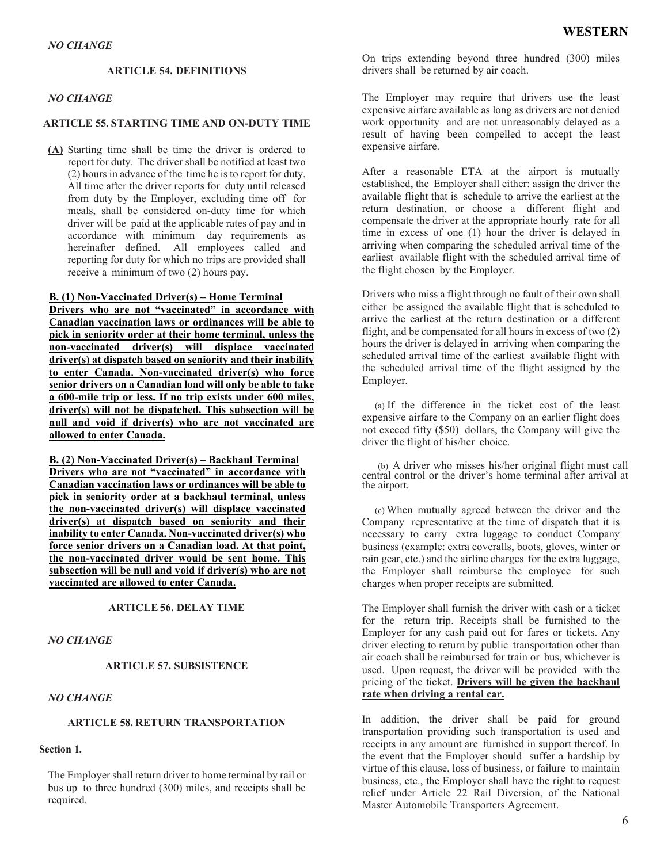## **ARTICLE 54. DEFINITIONS**

## *NO CHANGE*

## **ARTICLE 55. STARTING TIME AND ON-DUTY TIME**

**(A)** Starting time shall be time the driver is ordered to report for duty. The driver shall be notified at least two (2) hours in advance of the time he is to report for duty. All time after the driver reports for duty until released from duty by the Employer, excluding time off for meals, shall be considered on-duty time for which driver will be paid at the applicable rates of pay and in accordance with minimum day requirements as hereinafter defined. All employees called and reporting for duty for which no trips are provided shall receive a minimum of two (2) hours pay.

#### **B. (1) Non-Vaccinated Driver(s) – Home Terminal**

**Drivers who are not "vaccinated" in accordance with Canadian vaccination laws or ordinances will be able to pick in seniority order at their home terminal, unless the non-vaccinated driver(s) will displace vaccinated driver(s) at dispatch based on seniority and their inability to enter Canada. Non-vaccinated driver(s) who force senior drivers on a Canadian load will only be able to take a 600-mile trip or less. If no trip exists under 600 miles, driver(s) will not be dispatched. This subsection will be null and void if driver(s) who are not vaccinated are allowed to enter Canada.**

**B. (2) Non-Vaccinated Driver(s) – Backhaul Terminal Drivers who are not "vaccinated" in accordance with Canadian vaccination laws or ordinances will be able to pick in seniority order at a backhaul terminal, unless the non-vaccinated driver(s) will displace vaccinated driver(s) at dispatch based on seniority and their inability to enter Canada. Non-vaccinated driver(s) who force senior drivers on a Canadian load. At that point, the non-vaccinated driver would be sent home. This subsection will be null and void if driver(s) who are not vaccinated are allowed to enter Canada.**

#### **ARTICLE 56. DELAY TIME**

## *NO CHANGE*

## **ARTICLE 57. SUBSISTENCE**

## *NO CHANGE*

## **ARTICLE 58. RETURN TRANSPORTATION**

# **Section 1.**

The Employer shall return driver to home terminal by rail or bus up to three hundred (300) miles, and receipts shall be required.

On trips extending beyond three hundred (300) miles drivers shall be returned by air coach.

The Employer may require that drivers use the least expensive airfare available as long as drivers are not denied work opportunity and are not unreasonably delayed as a result of having been compelled to accept the least expensive airfare.

After a reasonable ETA at the airport is mutually established, the Employer shall either: assign the driver the available flight that is schedule to arrive the earliest at the return destination, or choose a different flight and compensate the driver at the appropriate hourly rate for all time in excess of one  $(1)$  hour the driver is delayed in arriving when comparing the scheduled arrival time of the earliest available flight with the scheduled arrival time of the flight chosen by the Employer.

Drivers who miss a flight through no fault of their own shall either be assigned the available flight that is scheduled to arrive the earliest at the return destination or a different flight, and be compensated for all hours in excess of two (2) hours the driver is delayed in arriving when comparing the scheduled arrival time of the earliest available flight with the scheduled arrival time of the flight assigned by the Employer.

(a) If the difference in the ticket cost of the least expensive airfare to the Company on an earlier flight does not exceed fifty (\$50) dollars, the Company will give the driver the flight of his/her choice.

(b) A driver who misses his/her original flight must call central control or the driver's home terminal after arrival at the airport.

(c) When mutually agreed between the driver and the Company representative at the time of dispatch that it is necessary to carry extra luggage to conduct Company business (example: extra coveralls, boots, gloves, winter or rain gear, etc.) and the airline charges for the extra luggage, the Employer shall reimburse the employee for such charges when proper receipts are submitted.

The Employer shall furnish the driver with cash or a ticket for the return trip. Receipts shall be furnished to the Employer for any cash paid out for fares or tickets. Any driver electing to return by public transportation other than air coach shall be reimbursed for train or bus, whichever is used. Upon request, the driver will be provided with the pricing of the ticket. **Drivers will be given the backhaul rate when driving a rental car.**

In addition, the driver shall be paid for ground transportation providing such transportation is used and receipts in any amount are furnished in support thereof. In the event that the Employer should suffer a hardship by virtue of this clause, loss of business, or failure to maintain business, etc., the Employer shall have the right to request relief under Article 22 Rail Diversion, of the National Master Automobile Transporters Agreement.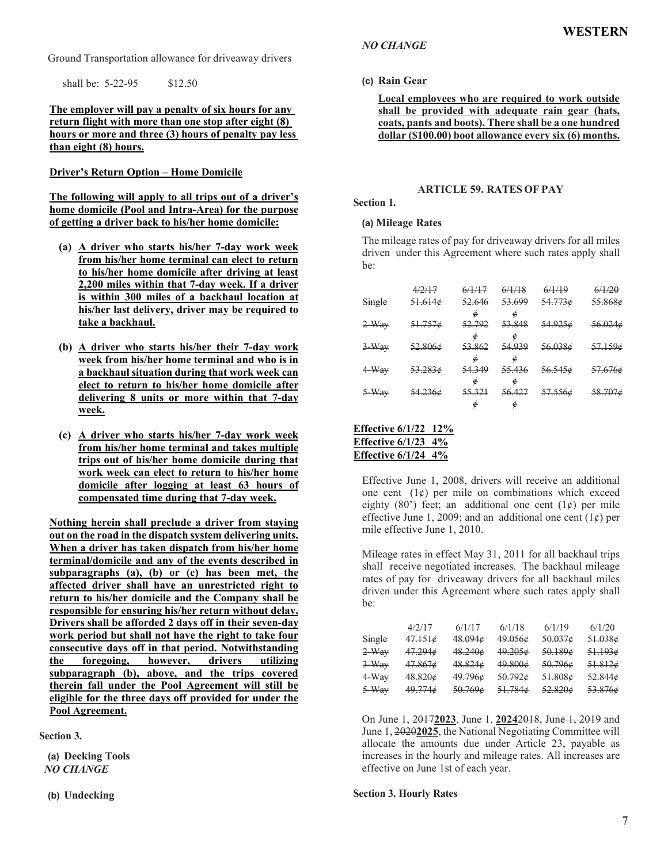Ground Transportation allowance for driveaway drivers

shall be: 5-22-95 \$12.50

## **The employer will pay a penalty of six hours for any return flight with more than one stop after eight (8) hours or more and three (3) hours of penalty pay less than eight (8) hours.**

## **Driver's Return Option – Home Domicile**

**The following will apply to all trips out of a driver's home domicile (Pool and Intra-Area) for the purpose of getting a driver back to his/her home domicile:**

- **(a) A driver who starts his/her 7-day work week from his/her home terminal can elect to return to his/her home domicile after driving at least 2,200 miles within that 7-day week. If a driver is within 300 miles of a backhaul location at his/her last delivery, driver may be required to take a backhaul.**
- **(b) A driver who starts his/her their 7-day work week from his/her home terminal and who is in a backhaul situation during that work week can elect to return to his/her home domicile after delivering 8 units or more within that 7-day week.**
- **(c) A driver who starts his/her 7-day work week from his/her home terminal and takes multiple trips out of his/her home domicile during that work week can elect to return to his/her home domicile after logging at least 63 hours of compensated time during that 7-day week.**

**Nothing herein shall preclude a driver from staying out on the road in the dispatch system delivering units. When a driver has taken dispatch from his/her home terminal/domicile and any of the events described in subparagraphs (a), (b) or (c) has been met, the affected driver shall have an unrestricted right to return to his/her domicile and the Company shall be responsible for ensuring his/her return without delay. Drivers shall be afforded 2 days off in their seven-day work period but shall not have the right to take four consecutive days off in that period. Notwithstanding the foregoing, however, drivers utilizing subparagraph (b), above, and the trips covered therein fall under the Pool Agreement will still be eligible for the three days off provided for under the Pool Agreement.**

**Section 3.**

**(a) Decking Tools** *NO CHANGE*

**(b) Undecking**

## *NO CHANGE*

# **(c) Rain Gear**

**Local employees who are required to work outside shall be provided with adequate rain gear (hats, coats, pants and boots). There shall be a one hundred dollar (\$100.00) boot allowance every six (6) months.**

## **ARTICLE 59. RATES OF PAY**

#### **Section 1.**

## **(a) Mileage Rates**

The mileage rates of pay for driveaway drivers for all miles driven under this Agreement where such rates apply shall be:

|         | 4/2/17             | 6/1/17 | 6/1/18 | 6/1/19             | 6/1/20             |
|---------|--------------------|--------|--------|--------------------|--------------------|
| Single  | <del>51.614¢</del> | 52.646 | 53.699 | 54.7736            | 55.868¢            |
|         |                    | é      | é      |                    |                    |
| $2-Way$ | 51.7576            | 52.792 | 53.848 | 54.9256            | 56.0246            |
|         |                    | é      |        |                    |                    |
| $3-Way$ | $52.806\phi$       | 53.862 | 54,939 | 56.038¢            | 57.159¢            |
|         |                    | ¢      | e      |                    |                    |
| $4-Way$ | <del>53.283¢</del> | 54.349 | 55.436 | <del>56.545¢</del> | <del>57.676¢</del> |
|         |                    | é      | é      |                    |                    |
| 5-Way   | 54.2366            | 55.321 | 56.427 | <del>57.556¢</del> | <del>58.707¢</del> |
|         |                    | Ć      | e      |                    |                    |

## **Effective 6/1/22 12% Effective 6/1/23 4% Effective 6/1/24 4%**

Effective June 1, 2008, drivers will receive an additional one cent  $(1¢)$  per mile on combinations which exceed eighty (80') feet; an additional one cent  $(1¢)$  per mile effective June 1, 2009; and an additional one cent  $(1¢)$  per mile effective June 1, 2010.

Mileage rates in effect May 31, 2011 for all backhaul trips shall receive negotiated increases. The backhaul mileage rates of pay for driveaway drivers for all backhaul miles driven under this Agreement where such rates apply shall be:

|         | 4/2/17       | 6/1/17       | 6/1/18       | 6/1/19       | 6/1/20       |
|---------|--------------|--------------|--------------|--------------|--------------|
| Single  | 47.1516      | $48.094\phi$ | 49.0566      | 50.0376      | 51.0386      |
| $2-Way$ | 47.294¢      | $48.240\phi$ | 49.2056      | 50.1896      | 51.1936      |
| $3-Way$ | $47.867\phi$ | 48.824¢      | 49.800¢      | $50.796\phi$ | 51.8126      |
| $4-Way$ | 48.8206      | 49.796¢      | 50.7926      | 51.808¢      | $52.844\phi$ |
| $5-Way$ | 49.774¢      | $50.769\phi$ | $51.784\phi$ | 52.8206      | 53.876¢      |

On June 1, 2017**2023**, June 1, **2024**2018, June 1, 2019 and June 1, 2020**2025**, the National Negotiating Committee will allocate the amounts due under Article 23, payable as increases in the hourly and mileage rates. All increases are effective on June 1st of each year.

#### **Section 3. Hourly Rates**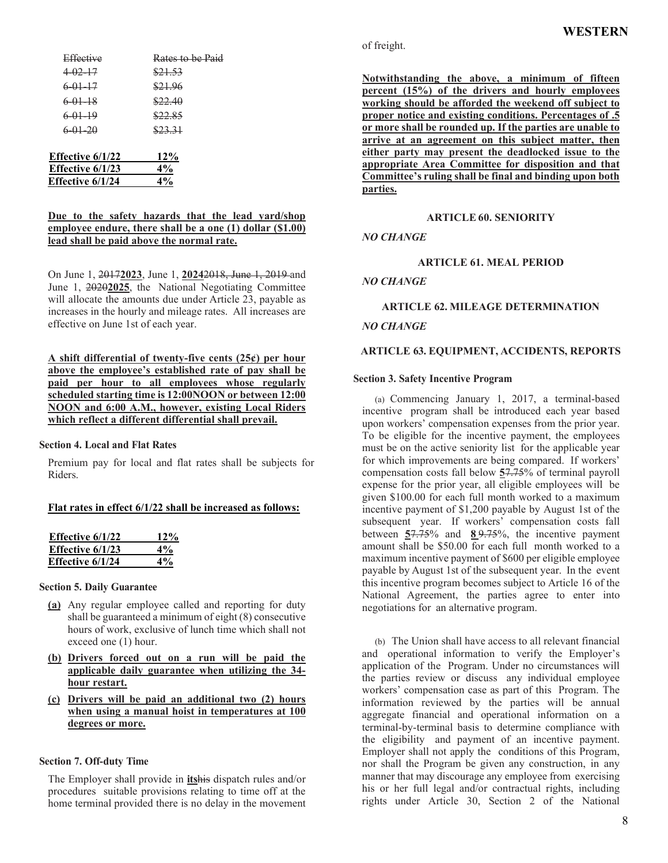| Effective          | Rates to be Paid |
|--------------------|------------------|
| $4-02-17$          | \$21.53          |
| $6.01 - 17$        | \$21.96          |
| $6.01 - 18$        | \$22.40          |
| $6.01 - 19$        | \$22.85          |
| $6.01 - 20$        | \$23.31          |
|                    |                  |
| Effective $6/1/22$ | 12%              |
| Effective 6/1/23   | 4%               |
| Effective 6/1/24   | $4\%$            |
|                    |                  |

## **Due to the safety hazards that the lead yard/shop employee endure, there shall be a one (1) dollar (\$1.00) lead shall be paid above the normal rate.**

On June 1, 2017**2023**, June 1, **2024**2018, June 1, 2019 and June 1, 2020**2025**, the National Negotiating Committee will allocate the amounts due under Article 23, payable as increases in the hourly and mileage rates. All increases are effective on June 1st of each year.

**A shift differential of twenty-five cents (25¢) per hour above the employee's established rate of pay shall be paid per hour to all employees whose regularly scheduled starting time is 12:00NOON or between 12:00 NOON and 6:00 A.M., however, existing Local Riders which reflect a different differential shall prevail.**

## **Section 4. Local and Flat Rates**

Premium pay for local and flat rates shall be subjects for Riders.

#### **Flat rates in effect 6/1/22 shall be increased as follows:**

| Effective $6/1/22$ | 12% |
|--------------------|-----|
| Effective $6/1/23$ | 4%  |
| Effective 6/1/24   | 4%  |

#### **Section 5. Daily Guarantee**

- **(a)** Any regular employee called and reporting for duty shall be guaranteed a minimum of eight (8) consecutive hours of work, exclusive of lunch time which shall not exceed one (1) hour.
- **(b) Drivers forced out on a run will be paid the applicable daily guarantee when utilizing the 34 hour restart.**
- **(c) Drivers will be paid an additional two (2) hours when using a manual hoist in temperatures at 100 degrees or more.**

#### **Section 7. Off-duty Time**

The Employer shall provide in **its**his dispatch rules and/or procedures suitable provisions relating to time off at the home terminal provided there is no delay in the movement of freight.

**Notwithstanding the above, a minimum of fifteen percent (15%) of the drivers and hourly employees working should be afforded the weekend off subject to proper notice and existing conditions. Percentages of .5 or more shall be rounded up. If the parties are unable to arrive at an agreement on this subject matter, then either party may present the deadlocked issue to the appropriate Area Committee for disposition and that Committee's ruling shall be final and binding upon both parties.**

#### **ARTICLE 60. SENIORITY**

## *NO CHANGE*

#### **ARTICLE 61. MEAL PERIOD**

*NO CHANGE*

## **ARTICLE 62. MILEAGE DETERMINATION**

## *NO CHANGE*

## **ARTICLE 63. EQUIPMENT, ACCIDENTS, REPORTS**

#### **Section 3. Safety Incentive Program**

(a) Commencing January 1, 2017, a terminal-based incentive program shall be introduced each year based upon workers' compensation expenses from the prior year. To be eligible for the incentive payment, the employees must be on the active seniority list for the applicable year for which improvements are being compared. If workers' compensation costs fall below **5**7.75% of terminal payroll expense for the prior year, all eligible employees will be given \$100.00 for each full month worked to a maximum incentive payment of \$1,200 payable by August 1st of the subsequent year. If workers' compensation costs fall between **5**7.75% and **8** 9.75%, the incentive payment amount shall be \$50.00 for each full month worked to a maximum incentive payment of \$600 per eligible employee payable by August 1st of the subsequent year. In the event this incentive program becomes subject to Article 16 of the National Agreement, the parties agree to enter into negotiations for an alternative program.

(b) The Union shall have access to all relevant financial and operational information to verify the Employer's application of the Program. Under no circumstances will the parties review or discuss any individual employee workers' compensation case as part of this Program. The information reviewed by the parties will be annual aggregate financial and operational information on a terminal-by-terminal basis to determine compliance with the eligibility and payment of an incentive payment. Employer shall not apply the conditions of this Program, nor shall the Program be given any construction, in any manner that may discourage any employee from exercising his or her full legal and/or contractual rights, including rights under Article 30, Section 2 of the National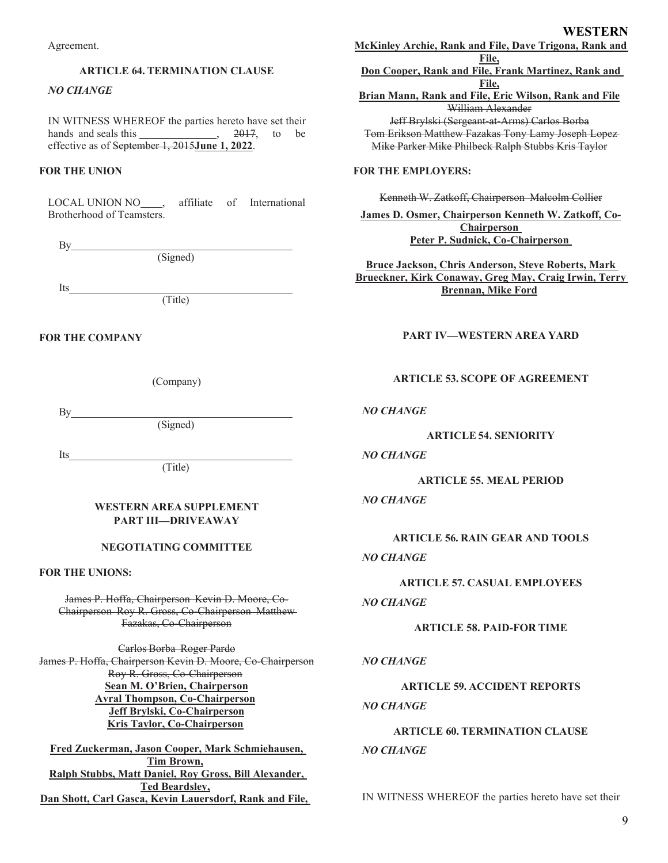Agreement.

## **ARTICLE 64. TERMINATION CLAUSE**

## *NO CHANGE*

IN WITNESS WHEREOF the parties hereto have set their hands and seals this  $\frac{2017}{100}$ ,  $\frac{2017}{100}$  to be effective as of September 1, 2015**June 1, 2022**.

## **FOR THE UNION**

LOCAL UNION NO , affiliate of International Brotherhood of Teamsters.

By

(Signed)

Its

(Title)

## **FOR THE COMPANY**

(Company)

 $By$ 

(Signed)

Its

(Title)

## **WESTERN AREA SUPPLEMENT PART III—DRIVEAWAY**

#### **NEGOTIATING COMMITTEE**

## **FOR THE UNIONS:**

James P. Hoffa, Chairperson Kevin D. Moore, Co-Chairperson Roy R. Gross, Co-Chairperson Matthew Fazakas, Co-Chairperson

Carlos Borba Roger Pardo James P. Hoffa, Chairperson Kevin D. Moore, Co-Chairperson Roy R. Gross, Co-Chairperson **Sean M. O'Brien, Chairperson Avral Thompson, Co-Chairperson Jeff Brylski, Co-Chairperson Kris Taylor, Co-Chairperson**

**Fred Zuckerman, Jason Cooper, Mark Schmiehausen, Tim Brown, Ralph Stubbs, Matt Daniel, Roy Gross, Bill Alexander, Ted Beardsley, Dan Shott, Carl Gasca, Kevin Lauersdorf, Rank and File,** **WESTERN**

**McKinley Archie, Rank and File, Dave Trigona, Rank and File, Don Cooper, Rank and File, Frank Martinez, Rank and File, Brian Mann, Rank and File, Eric Wilson, Rank and File** William Alexander Jeff Brylski (Sergeant-at-Arms) Carlos Borba Tom Erikson Matthew Fazakas Tony Lamy Joseph Lopez Mike Parker Mike Philbeck Ralph Stubbs Kris Taylor

## **FOR THE EMPLOYERS:**

Kenneth W. Zatkoff, Chairperson Malcolm Collier

**James D. Osmer, Chairperson Kenneth W. Zatkoff, Co-Chairperson Peter P. Sudnick, Co-Chairperson**

**Bruce Jackson, Chris Anderson, Steve Roberts, Mark Brueckner, Kirk Conaway, Greg May, Craig Irwin, Terry Brennan, Mike Ford**

# **PART IV—WESTERN AREA YARD**

## **ARTICLE 53. SCOPE OF AGREEMENT**

## *NO CHANGE*

#### **ARTICLE 54. SENIORITY**

#### *NO CHANGE*

**ARTICLE 55. MEAL PERIOD**

#### *NO CHANGE*

**ARTICLE 56. RAIN GEAR AND TOOLS**

# *NO CHANGE*

**ARTICLE 57. CASUAL EMPLOYEES**

# *NO CHANGE*

## **ARTICLE 58. PAID-FOR TIME**

#### *NO CHANGE*

# **ARTICLE 59. ACCIDENT REPORTS** *NO CHANGE*

# **ARTICLE 60. TERMINATION CLAUSE** *NO CHANGE*

IN WITNESS WHEREOF the parties hereto have set their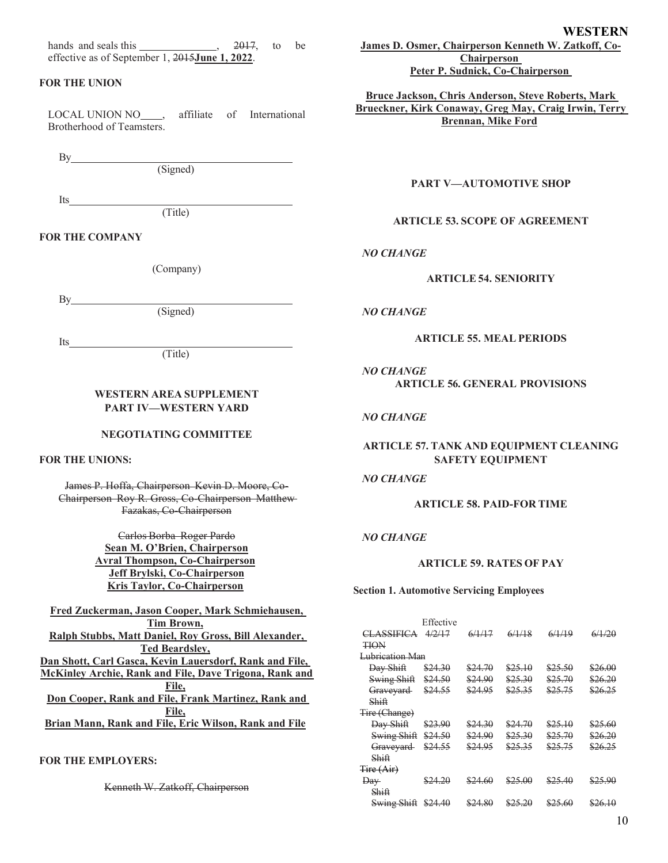hands and seals this , 2017, to be effective as of September 1, 2015**June 1, 2022**.

## **FOR THE UNION**

LOCAL UNION NO<sub>,</sub> affiliate of International Brotherhood of Teamsters.

By

(Signed)

Its

(Title)

#### **FOR THE COMPANY**

(Company)

 $By$ 

Its

(Signed)

(Title)

## **WESTERN AREA SUPPLEMENT PART IV—WESTERN YARD**

#### **NEGOTIATING COMMITTEE**

**FOR THE UNIONS:**

James P. Hoffa, Chairperson Kevin D. Moore, Co-Chairperson Roy R. Gross, Co-Chairperson Matthew Fazakas, Co-Chairperson

> Carlos Borba Roger Pardo **Sean M. O'Brien, Chairperson Avral Thompson, Co-Chairperson Jeff Brylski, Co-Chairperson Kris Taylor, Co-Chairperson**

**Fred Zuckerman, Jason Cooper, Mark Schmiehausen, Tim Brown, Ralph Stubbs, Matt Daniel, Roy Gross, Bill Alexander, Ted Beardsley, Dan Shott, Carl Gasca, Kevin Lauersdorf, Rank and File, McKinley Archie, Rank and File, Dave Trigona, Rank and File, Don Cooper, Rank and File, Frank Martinez, Rank and File, Brian Mann, Rank and File, Eric Wilson, Rank and File**

# **FOR THE EMPLOYERS:**

Kenneth W. Zatkoff, Chairperson

**WESTERN James D. Osmer, Chairperson Kenneth W. Zatkoff, Co-Chairperson**

**Peter P. Sudnick, Co-Chairperson**

**Bruce Jackson, Chris Anderson, Steve Roberts, Mark Brueckner, Kirk Conaway, Greg May, Craig Irwin, Terry Brennan, Mike Ford**

**PART V—AUTOMOTIVE SHOP**

## **ARTICLE 53. SCOPE OF AGREEMENT**

*NO CHANGE*

#### **ARTICLE 54. SENIORITY**

#### *NO CHANGE*

#### **ARTICLE 55. MEAL PERIODS**

*NO CHANGE* **ARTICLE 56. GENERAL PROVISIONS**

#### *NO CHANGE*

## **ARTICLE 57. TANK AND EQUIPMENT CLEANING SAFETY EQUIPMENT**

## *NO CHANGE*

## **ARTICLE 58. PAID-FOR TIME**

#### *NO CHANGE*

## **ARTICLE 59. RATES OF PAY**

**Section 1. Automotive Servicing Employees**

|                   | Effective |         |         |         |         |
|-------------------|-----------|---------|---------|---------|---------|
| <b>CLASSIFICA</b> | 4/2/17    | 6/1/17  | 6/1/18  | 6/1/19  | 6/1/20  |
| TION              |           |         |         |         |         |
| Lubrication Man   |           |         |         |         |         |
| Day Shift         | \$24.30   | \$24.70 | \$25.10 | \$25.50 | \$26.00 |
| Swing Shift       | \$24.50   | \$24.90 | \$25.30 | \$25.70 | \$26.20 |
| Graveyard         | \$24.55   | \$24.95 | \$25.35 | \$25.75 | \$26.25 |
| Shift             |           |         |         |         |         |
| Tire (Change)     |           |         |         |         |         |
| Day Shift         | \$23.90   | \$24.30 | \$24.70 | \$25.10 | \$25.60 |
| Swing Shift       | \$24.50   | \$24.90 | \$25.30 | \$25.70 | \$26.20 |
| Graveyard         | \$24.55   | \$24.95 | \$25.35 | \$25.75 | \$26.25 |
| Shiff             |           |         |         |         |         |
| Tire (Air)        |           |         |         |         |         |
| $\overline{$      | \$24.20   | \$24.60 | \$25.00 | \$25.40 | \$25.90 |
| Shift             |           |         |         |         |         |
| Swing Shift       | \$24.40   | \$24.80 | \$25.20 | \$25.60 | \$26.10 |
|                   |           |         |         |         |         |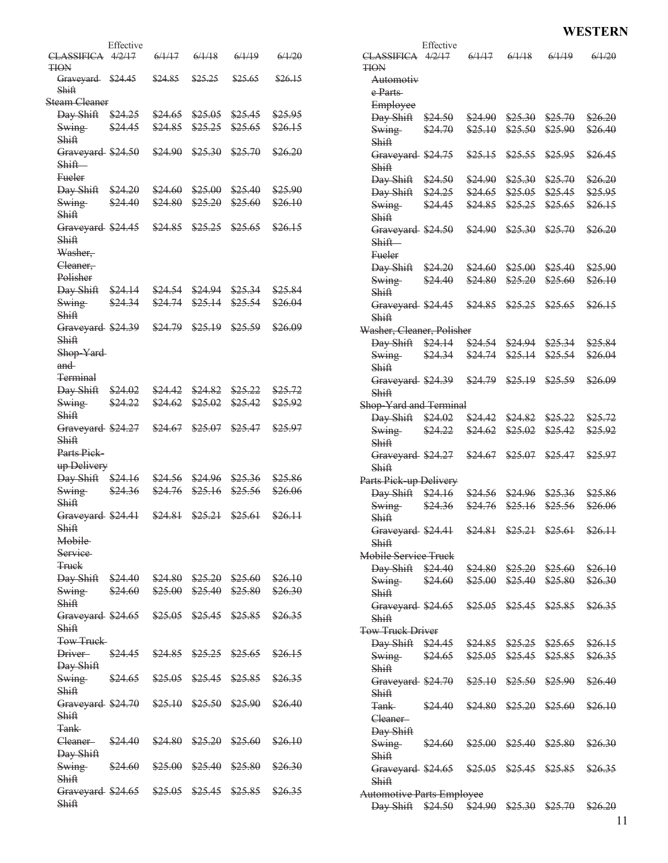# **WESTERN**

|                                                    | Effective |         |                            |                            |         |                                                    | Effective |                            |                            |                            |         |
|----------------------------------------------------|-----------|---------|----------------------------|----------------------------|---------|----------------------------------------------------|-----------|----------------------------|----------------------------|----------------------------|---------|
| CLASSIFICA 4/2/17<br><b>TION</b>                   |           | 6/1/17  | 6/1/18                     | 6/1/19                     | 6/1/20  | CLASSIFICA 4/2/17<br><b>TION</b>                   |           | 6/1/17                     | 6/1/18                     | 6/1/19                     | 6/1/20  |
| Graveyard \$24.45<br>Shift                         |           | \$24.85 | \$25.25                    | \$25.65                    | \$26.15 | Automotiv<br>e Parts                               |           |                            |                            |                            |         |
| Steam Cleaner                                      |           |         |                            |                            |         | Employee                                           |           |                            |                            |                            |         |
| Day Shift                                          | \$24.25   | \$24.65 | \$25.05                    | \$25.45                    | \$25.95 | Day Shift \$24.50                                  |           | \$24.90                    | \$25.30                    | \$25.70                    | \$26.20 |
| Swing-<br>Shift                                    | \$24.45   | \$24.85 | \$25.25                    | \$25.65                    | \$26.15 | Swing<br>Shift                                     | \$24.70   | \$25.10                    | \$25.50                    | \$25.90                    | \$26.40 |
| Graveyard \$24.50<br>Shift-                        |           | \$24.90 | \$25.30                    | \$25.70                    | \$26.20 | Graveyard \$24.75<br>Shift                         |           |                            | $$25.15$ \$25.55           | \$25.95                    | \$26.45 |
| <b>Fueler</b>                                      |           |         |                            |                            |         | Day Shift \$24.50                                  |           | \$24.90                    | \$25.30                    | \$25.70                    | \$26.20 |
| Day Shift \$24.20                                  |           | \$24.60 | \$25.00                    | \$25.40                    | \$25.90 | Day Shift \$24.25                                  |           | \$24.65                    | \$25.05                    | \$25.45                    | \$25.95 |
| Swing                                              | \$24.40   | \$24.80 | \$25.20                    | \$25.60                    | \$26.10 | Swing                                              | \$24.45   | \$24.85                    | \$25.25                    | \$25.65                    | \$26.15 |
| Shift                                              |           |         |                            |                            |         | Shift                                              |           |                            |                            |                            |         |
| Graveyard \$24.45                                  |           | \$24.85 | \$25.25                    | \$25.65                    | \$26.15 | Graveyard \$24.50                                  |           | \$24.90                    | \$25.30                    | \$25.70                    | \$26.20 |
| Shift<br>Washer,                                   |           |         |                            |                            |         | Shift-<br>Fueler                                   |           |                            |                            |                            |         |
| Cleaner,                                           |           |         |                            |                            |         | Day Shift \$24.20                                  |           | \$24.60                    | \$25.00                    | \$25.40                    | \$25.90 |
| Polisher<br>Day Shift \$24.14                      |           | \$24.54 | \$24.94                    | \$25.34                    | \$25.84 | <b>Swing</b><br>Shift                              | \$24.40   | \$24.80                    | \$25.20                    | \$25.60                    | \$26.10 |
| Swing<br>Shift                                     | \$24.34   | \$24.74 | \$25.14                    | \$25.54                    | \$26.04 | Graveyard \$24.45 \$24.85 \$25.25<br>Shift         |           |                            |                            | \$25.65                    | \$26.15 |
| Graveyard \$24.39                                  |           | \$24.79 | \$25.19                    | \$25.59                    | \$26.09 | Washer, Cleaner, Polisher                          |           |                            |                            |                            |         |
| Shift                                              |           |         |                            |                            |         | Day Shift \$24.14                                  |           |                            | $$24.54$ $$24.94$ $$25.34$ |                            | \$25.84 |
| Shop-Yard-                                         |           |         |                            |                            |         | Swing                                              | \$24.34   | \$24.74                    | \$25.14                    | \$25.54                    | \$26.04 |
| and                                                |           |         |                            |                            |         | Shift                                              |           |                            |                            |                            |         |
| <del>Terminal</del><br>Day Shift \$24.02           |           | \$24.42 | \$24.82                    | \$25.22                    | \$25.72 | Graveyard \$24.39<br>Shift                         |           | <del>\$24.79</del> \$25.19 |                            | \$25.59                    | \$26.09 |
| <b>Swing</b>                                       | \$24.22   | \$24.62 | \$25.02                    | \$25.42                    | \$25.92 | Shop Yard and Terminal                             |           |                            |                            |                            |         |
| Shift                                              |           |         |                            |                            |         | $Day Shift$ $$24.02$                               |           |                            | \$24.42 \$24.82            | \$25.22                    | \$25.72 |
| Graveyard \$24.27                                  |           | \$24.67 | \$25.07                    | \$25.47                    | \$25.97 | <b>Swing</b>                                       | \$24.22   |                            | $$24.62$ $$25.02$          | \$25.42                    | \$25.92 |
| Shift                                              |           |         |                            |                            |         | Shif <sub>t</sub>                                  |           |                            |                            |                            |         |
| Parts Pick                                         |           |         |                            |                            |         | Graveyard \$24.27                                  |           | $$24.67$ $$25.07$ $$25.47$ |                            |                            | \$25.97 |
| up Delivery                                        |           |         |                            |                            |         | Shift                                              |           |                            |                            |                            |         |
| Day Shift \$24.16                                  |           | \$24.56 | \$24.96                    | \$25.36                    | \$25.86 | Parts Pick up Delivery                             |           |                            |                            |                            |         |
| Swing                                              | \$24.36   | \$24.76 | \$25.16                    | \$25.56                    | \$26.06 | Day Shift \$24.16                                  |           | \$24.56                    | \$24.96                    | \$25.36                    | \$25.86 |
| Shift                                              |           |         |                            |                            |         | Swing                                              | \$24.36   | \$24.76                    | \$25.16                    | \$25.56                    | \$26.06 |
| Graveyard \$24.41                                  |           | \$24.81 | \$25.21 \$25.61            |                            | \$26.11 | Shift                                              |           |                            |                            |                            |         |
| Shift<br>Mobile                                    |           |         |                            |                            |         | Graveyard \$24.41 \$24.81 \$25.21 \$25.61<br>Shift |           |                            |                            |                            | \$26.11 |
| <b>Service</b>                                     |           |         |                            |                            |         | Mobile Service Truck                               |           |                            |                            |                            |         |
| <b>Truck</b>                                       |           |         |                            |                            |         |                                                    |           |                            |                            |                            |         |
| Day Shift \$24.40 \$24.80 \$25.20 \$25.60 \$26.10  |           |         |                            |                            |         | Day Shift \$24.40 \$24.80 \$25.20 \$25.60          |           |                            |                            |                            | \$26.10 |
| <b>Swing</b>                                       | \$24.60   |         |                            | $$25.00$ $$25.40$ $$25.80$ | \$26.30 | <b>Swing</b>                                       | \$24.60   |                            |                            | $$25.00$ $$25.40$ $$25.80$ | \$26.30 |
| Shift                                              |           |         |                            |                            |         | Shift                                              |           |                            |                            |                            |         |
| Graveyard \$24.65 \$25.05 \$25.45 \$25.85 \$26.35  |           |         |                            |                            |         | Graveyard \$24.65 \$25.05 \$25.45 \$25.85<br>Shift |           |                            |                            |                            | \$26.35 |
| Shift                                              |           |         |                            |                            |         |                                                    |           |                            |                            |                            |         |
| Tow Truck                                          |           |         |                            |                            |         | <b>Tow Truck Driver</b>                            |           |                            |                            |                            |         |
| Driver-                                            | \$24.45   |         | $$24.85$ $$25.25$ $$25.65$ |                            | \$26.15 | Day Shift \$24.45 \$24.85 \$25.25 \$25.65          |           |                            |                            |                            | \$26.15 |
| Day Shift                                          |           |         |                            |                            |         | Swing                                              | \$24.65   |                            |                            | $$25.05$ $$25.45$ $$25.85$ | \$26.35 |
| Swing                                              | \$24.65   |         | $$25.05$ $$25.45$ $$25.85$ |                            | \$26.35 | Shift                                              |           |                            |                            |                            |         |
| Shift                                              |           |         |                            |                            |         | Graveyard \$24.70 \$25.10 \$25.50                  |           |                            |                            | \$25.90                    | \$26.40 |
| Graveyard \$24.70                                  |           |         | $$25.10$ $$25.50$ $$25.90$ |                            | \$26.40 | Shift                                              |           |                            |                            |                            |         |
| Shift                                              |           |         |                            |                            |         | <b>Tank</b>                                        | \$24.40   |                            | $$24.80$ $$25.20$ $$25.60$ |                            | \$26.10 |
| <b>Tank</b>                                        |           |         |                            |                            |         | Cleaner-                                           |           |                            |                            |                            |         |
|                                                    |           |         |                            |                            |         | Day Shift                                          |           |                            |                            |                            |         |
| Cleaner-<br>Day Shift                              | \$24.40   |         | $$24.80$ $$25.20$ $$25.60$ |                            | \$26.10 | Swing                                              | \$24.60   |                            | $$25.00$ $$25.40$          | \$25.80                    | \$26.30 |
|                                                    | \$24.60   |         |                            |                            |         | Shift                                              |           |                            |                            |                            |         |
| Swing<br>Shift                                     |           | \$25.00 | \$25.40                    | \$25.80                    | \$26.30 | Graveyard \$24.65 \$25.05 \$25.45 \$25.85          |           |                            |                            |                            | \$26.35 |
|                                                    |           |         |                            |                            | \$26.35 | Shift                                              |           |                            |                            |                            |         |
| Graveyard \$24.65 \$25.05 \$25.45 \$25.85<br>Shift |           |         |                            |                            |         | <b>Automotive Parts Employee</b>                   |           |                            |                            |                            |         |
|                                                    |           |         |                            |                            |         | Day Shift \$24.50 \$24.90 \$25.30 \$25.70          |           |                            |                            |                            | \$26.20 |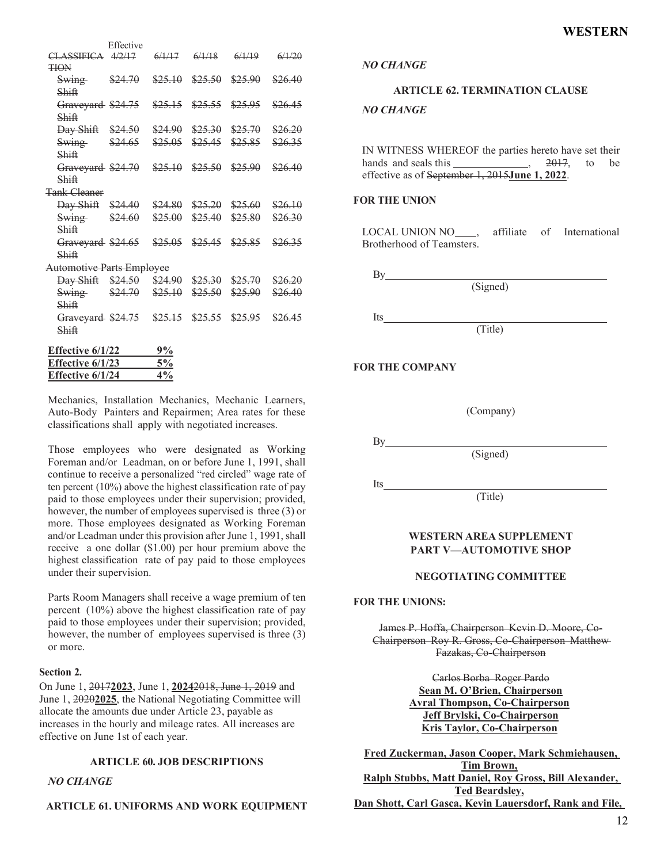| Effective 6/1/24                  |                   | 4%                 |                    |                            |                    |
|-----------------------------------|-------------------|--------------------|--------------------|----------------------------|--------------------|
| Effective 6/1/23                  |                   | 5%                 |                    |                            |                    |
| <b>Effective 6/1/22</b>           |                   | 9%                 |                    |                            |                    |
| Shiff                             |                   |                    |                    |                            |                    |
| Graveyard \$24.75 \$25.15         |                   |                    | \$25.55            | \$25.95                    | \$26.45            |
| Shiff                             |                   |                    |                    |                            |                    |
| <b>Swing</b>                      | $$24.70$ $$25.10$ |                    | \$25.50            | \$25.90                    | \$26.40            |
| Day Shift \$24.50 \$24.90 \$25.30 |                   |                    |                    | \$25.70                    | \$26.20            |
| <b>Automotive Parts Employee</b>  |                   |                    |                    |                            |                    |
| Graveyard \$24.65<br>Shiff        |                   | \$25.05            | \$25.45            | \$25.85                    | \$26.35            |
| Shiff                             |                   |                    |                    |                            |                    |
| Swing \$24.60                     |                   | \$25.00            | \$25.40            | \$25.80                    | \$26.30            |
| <b>Day Shift</b> \$24.40          |                   | \$24.80            | \$25.20            | \$25.60                    | \$26.10            |
| <b>Tank Cleaner</b>               |                   |                    |                    |                            |                    |
| Shiff                             |                   |                    |                    |                            |                    |
| Graveyard \$24.70                 |                   | \$25.10            | \$25.50            | \$25.90                    | \$26.40            |
| <b>Swing</b><br>Shiff             |                   |                    |                    |                            |                    |
| Day Shift \$24.50                 | \$24.65           | \$24.90<br>\$25.05 | \$25.30<br>\$25.45 | \$25.70<br>\$25.85         | \$26.20<br>\$26.35 |
| Shiff                             |                   |                    |                    |                            |                    |
| Shiff<br>Graveyard \$24.75        |                   |                    |                    | $$25.15$ $$25.55$ $$25.95$ | \$26.45            |
| Swing \$24.70                     |                   | \$25.10            | \$25.50            | \$25.90                    | \$26.40            |
| <b>TION</b>                       |                   |                    |                    |                            |                    |
| CLASSIFICA 4/2/17                 | Effective         | 6/1/17             | 6/1/18             | 6/1/19                     | 6/1/20             |
|                                   |                   |                    |                    |                            |                    |

Mechanics, Installation Mechanics, Mechanic Learners, Auto-Body Painters and Repairmen; Area rates for these classifications shall apply with negotiated increases.

Those employees who were designated as Working Foreman and/or Leadman, on or before June 1, 1991, shall continue to receive a personalized "red circled" wage rate of ten percent (10%) above the highest classification rate of pay paid to those employees under their supervision; provided, however, the number of employees supervised is three  $(3)$  or more. Those employees designated as Working Foreman and/or Leadman under this provision after June 1, 1991, shall receive a one dollar (\$1.00) per hour premium above the highest classification rate of pay paid to those employees under their supervision.

Parts Room Managers shall receive a wage premium of ten percent (10%) above the highest classification rate of pay paid to those employees under their supervision; provided, however, the number of employees supervised is three (3) or more.

#### **Section 2.**

On June 1, 2017**2023**, June 1, **2024**2018, June 1, 2019 and June 1, 2020**2025**, the National Negotiating Committee will allocate the amounts due under Article 23, payable as increases in the hourly and mileage rates. All increases are effective on June 1st of each year.

#### **ARTICLE 60. JOB DESCRIPTIONS**

#### *NO CHANGE*

## **ARTICLE 61. UNIFORMS AND WORK EQUIPMENT**

*NO CHANGE*

#### **ARTICLE 62. TERMINATION CLAUSE**

#### *NO CHANGE*

IN WITNESS WHEREOF the parties hereto have set their<br>hands and seals this . 2017, to be hands and seals this , 2017, to effective as of September 1, 2015**June 1, 2022**.

#### **FOR THE UNION**

LOCAL UNION NO , affiliate of International Brotherhood of Teamsters.

(Signed)

 $By_$ 

Its

(Title)

#### **FOR THE COMPANY**

(Company)

By

Its

(Signed)

(Title)

#### **WESTERN AREA SUPPLEMENT PART V—AUTOMOTIVE SHOP**

#### **NEGOTIATING COMMITTEE**

#### **FOR THE UNIONS:**

James P. Hoffa, Chairperson Kevin D. Moore, Co-Chairperson Roy R. Gross, Co-Chairperson Matthew Fazakas, Co-Chairperson

> Carlos Borba Roger Pardo **Sean M. O'Brien, Chairperson Avral Thompson, Co-Chairperson Jeff Brylski, Co-Chairperson Kris Taylor, Co-Chairperson**

**Fred Zuckerman, Jason Cooper, Mark Schmiehausen, Tim Brown, Ralph Stubbs, Matt Daniel, Roy Gross, Bill Alexander, Ted Beardsley, Dan Shott, Carl Gasca, Kevin Lauersdorf, Rank and File,**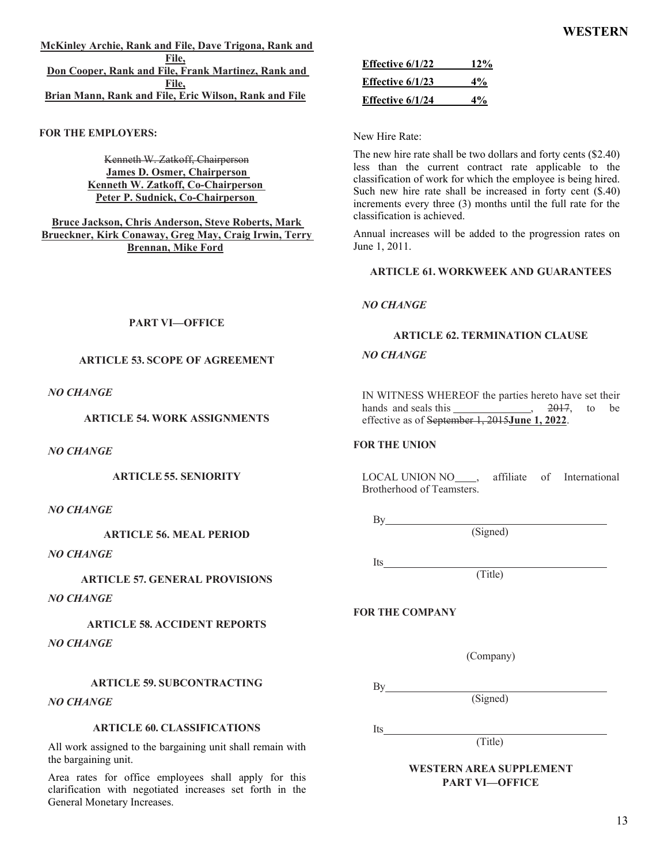**McKinley Archie, Rank and File, Dave Trigona, Rank and File, Don Cooper, Rank and File, Frank Martinez, Rank and File, Brian Mann, Rank and File, Eric Wilson, Rank and File**

**FOR THE EMPLOYERS:**

Kenneth W. Zatkoff, Chairperson **James D. Osmer, Chairperson Kenneth W. Zatkoff, Co-Chairperson Peter P. Sudnick, Co-Chairperson**

**Bruce Jackson, Chris Anderson, Steve Roberts, Mark Brueckner, Kirk Conaway, Greg May, Craig Irwin, Terry Brennan, Mike Ford**

New Hire Rate:

**Effective 6/1/22 12% Effective 6/1/23 4% Effective 6/1/24 4%**

The new hire rate shall be two dollars and forty cents (\$2.40) less than the current contract rate applicable to the classification of work for which the employee is being hired. Such new hire rate shall be increased in forty cent (\$.40) increments every three (3) months until the full rate for the classification is achieved.

Annual increases will be added to the progression rates on June 1, 2011.

**ARTICLE 61. WORKWEEK AND GUARANTEES**

# *NO CHANGE*

# **ARTICLE 62. TERMINATION CLAUSE**

# *NO CHANGE*

IN WITNESS WHEREOF the parties hereto have set their hands and seals this , 2017, to be effective as of September 1, 2015**June 1, 2022**.

## **FOR THE UNION**

LOCAL UNION NO\_\_\_\_, affiliate of International Brotherhood of Teamsters.

**By** 

(Signed)

Its

(Title)

# **FOR THE COMPANY**

(Company)

(Signed)

(Title)

By

Its

# **WESTERN AREA SUPPLEMENT PART VI—OFFICE**

## **PART VI—OFFICE**

# **ARTICLE 53. SCOPE OF AGREEMENT**

*NO CHANGE*

**ARTICLE 54. WORK ASSIGNMENTS**

*NO CHANGE*

**ARTICLE 55. SENIORITY**

*NO CHANGE*

**ARTICLE 56. MEAL PERIOD**

*NO CHANGE*

# **ARTICLE 57. GENERAL PROVISIONS**

*NO CHANGE*

# **ARTICLE 58. ACCIDENT REPORTS** *NO CHANGE*

# **ARTICLE 59. SUBCONTRACTING**

*NO CHANGE*

## **ARTICLE 60. CLASSIFICATIONS**

All work assigned to the bargaining unit shall remain with the bargaining unit.

Area rates for office employees shall apply for this clarification with negotiated increases set forth in the General Monetary Increases.